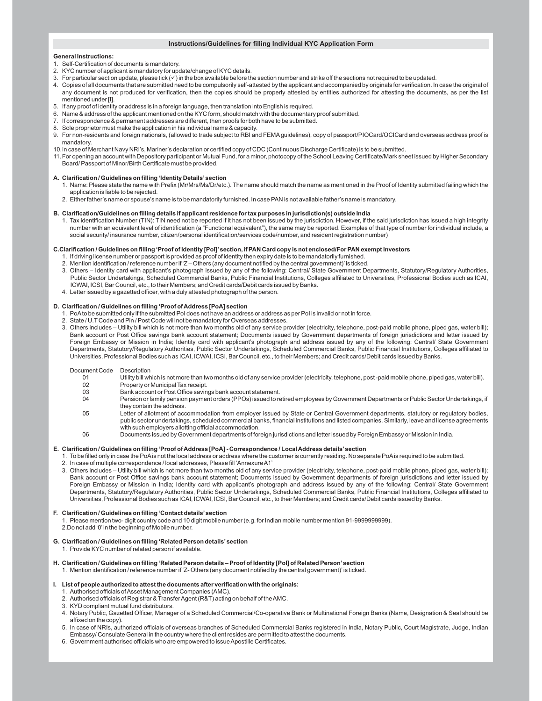# **Instructions/Guidelines for filling Individual KYC Application Form**

## **General Instructions:**

- 1. Self-Certification of documents is mandatory.
- 2. KYC number of applicant is mandatory for update/change of KYC details.
- 3. For particular section update, please tick ( $\checkmark$ ) in the box available before the section number and strike off the sections not required to be updated.
- 4. Copies of all documents that are submitted need to be compulsorily self-attested by the applicant and accompanied by originals for verification. In case the original of any document is not produced for verification, then the copies should be properly attested by entities authorized for attesting the documents, as per the list mentioned under [I].
- 5. If any proof of identity or address is in a foreign language, then translation into English is required.
- 6. Name & address of the applicant mentioned on the KYC form, should match with the documentary proof submitted.
- 7. If correspondence & permanent addresses are different, then proofs for both have to be submitted.
- 8. Sole proprietor must make the application in his individual name & capacity.
- 9. For non-residents and foreign nationals, (allowed to trade subject to RBI and FEMA guidelines), copy of passport/PIOCard/OCICard and overseas address proof is mandatory.
- 10.In case of Merchant Navy NRI's, Mariner's declaration or certified copy of CDC (Continuous Discharge Certificate) is to be submitted.
- 11.For opening an account with Depository participant or Mutual Fund, for a minor, photocopy of the School Leaving Certificate/Mark sheet issued by Higher Secondary Board/ Passport of Minor/Birth Certificate must be provided.

#### **A. Clarification / Guidelines on filling 'Identity Details' section**

- 1. Name: Please state the name with Prefix (Mr/Mrs/Ms/Dr/etc.). The name should match the name as mentioned in the Proof of Identity submitted failing which the application is liable to be rejected.
- 2. Either father's name or spouse's name is to be mandatorily furnished. In case PAN is not available father's name is mandatory.

### **B. Clarification/Guidelines on filling details if applicant residence for tax purposes in jurisdiction(s) outside India**

1. Tax identification Number (TIN): TIN need not be reported if it has not been issued by the jurisdiction. However, if the said jurisdiction has issued a high integrity number with an equivalent level of identification (a "Functional equivalent"), the same may be reported. Examples of that type of number for individual include, a social security/ insurance number, citizen/personal identification/services code/number, and resident registration number)

### **C.Clarification / Guidelines on filling 'Proof of Identity [PoI]' section, if PAN Card copy is not enclosed/For PAN exempt Investors**

- 1. If driving license number or passport is provided as proof of identity then expiry date is to be mandatorily furnished.
- 2. Mention identification / reference number if 'Z Others (any document notified by the central government)' is ticked.
- 3. Others Identity card with applicant's photograph issued by any of the following: Central/ State Government Departments, Statutory/Regulatory Authorities, Public Sector Undertakings, Scheduled Commercial Banks, Public Financial Institutions, Colleges affiliated to Universities, Professional Bodies such as ICAI, ICWAI, ICSI, Bar Council, etc., to their Members; and Credit cards/Debit cards issued by Banks.
- 4. Letter issued by a gazetted officer, with a duly attested photograph of the person.

# **D. Clarification / Guidelines on filling 'Proof of Address [PoA] section**

- 1. PoA to be submitted only if the submitted PoI does not have an address or address as per PoI is invalid or not in force.
- 2. State / U.T Code and Pin / Post Code will not be mandatory for Overseas addresses.
- 3. Others includes Utility bill which is not more than two months old of any service provider (electricity, telephone, post-paid mobile phone, piped gas, water bill); Bank account or Post Office savings bank account statement; Documents issued by Government departments of foreign jurisdictions and letter issued by Foreign Embassy or Mission in India; Identity card with applicant's photograph and address issued by any of the following: Central/ State Government Departments, Statutory/Regulatory Authorities, Public Sector Undertakings, Scheduled Commercial Banks, Public Financial Institutions, Colleges affiliated to Universities, Professional Bodies such as ICAI, ICWAI, ICSI, Bar Council, etc., to their Members; and Credit cards/Debit cards issued by Banks.

# Document Code Description<br>01 Utility bill wh

- 01 Utility bill which is not more than two months old of any service provider (electricity, telephone, post -paid mobile phone, piped gas, water bill).<br>02 Property or Municipal Tax receipt.
- 02 Property or Municipal Tax receipt.<br>03 Bank account or Post Office savin
- 03 Bank account or Post Office savings bank account statement.<br>04 Pension or family pension payment orders (PPOs) issued to re Pension or family pension payment orders (PPOs) issued to retired employees by Government Departments or Public Sector Undertakings, if
- they contain the address.
- 05 Letter of allotment of accommodation from employer issued by State or Central Government departments, statutory or regulatory bodies, public sector undertakings, scheduled commercial banks, financial institutions and listed companies. Similarly, leave and license agreements with such employers allotting official accommodation.
- 06 Documents issued by Government departments of foreign jurisdictions and letter issued by Foreign Embassy or Mission in India.

# **E. Clarification / Guidelines on filling 'Proof of Address [PoA] - Correspondence / Local Address details' section**

- 1. To be filled only in case the PoA is not the local address or address where the customer is currently residing. No separate PoA is required to be submitted.
- 2. In case of multiple correspondence / local addresses, Please fill 'Annexure A1'
- 3. Others includes Utility bill which is not more than two months old of any service provider (electricity, telephone, post-paid mobile phone, piped gas, water bill); Bank account or Post Office savings bank account statement; Documents issued by Government departments of foreign jurisdictions and letter issued by Foreign Embassy or Mission in India; Identity card with applicant's photograph and address issued by any of the following: Central/ State Government Departments, Statutory/Regulatory Authorities, Public Sector Undertakings, Scheduled Commercial Banks, Public Financial Institutions, Colleges affiliated to Universities, Professional Bodies such as ICAI, ICWAI, ICSI, Bar Council, etc., to their Members; and Credit cards/Debit cards issued by Banks.

#### **F. Clarification / Guidelines on filling 'Contact details' section**

1. Please mention two- digit country code and 10 digit mobile number (e.g. for Indian mobile number mention 91-9999999999). 2.Do not add '0' in the beginning of Mobile number.

### **G. Clarification / Guidelines on filling 'Related Person details' section**

1. Provide KYC number of related person if available.

**H. Clarification / Guidelines on filling 'Related Person details – Proof of Identity [PoI] of Related Person' section** 1. Mention identification / reference number if 'Z- Others (any document notified by the central government)' is ticked.

# **I. List of people authorized to attest the documents after verification with the originals:**

- 1. Authorised officials of Asset Management Companies (AMC).
- 2. Authorised officials of Registrar & Transfer Agent (R&T) acting on behalf of the AMC.
- 3. KYD compliant mutual fund distributors.
- 4. Notary Public, Gazetted Officer, Manager of a Scheduled Commercial/Co-operative Bank or Multinational Foreign Banks (Name, Designation & Seal should be affixed on the copy).
- 5. In case of NRIs, authorized officials of overseas branches of Scheduled Commercial Banks registered in India, Notary Public, Court Magistrate, Judge, Indian Embassy/ Consulate General in the country where the client resides are permitted to attest the documents.
- 6. Government authorised officials who are empowered to issue Apostille Certificates.